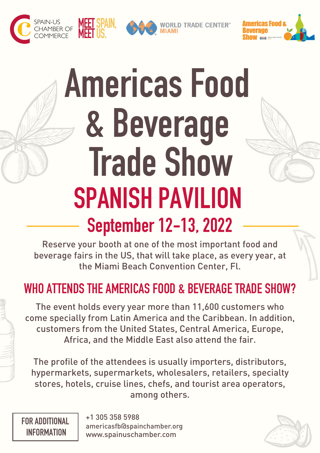



**WORLD TRADE CENTER®** 



# Americas Food & Beverage **Trade Show** SPANISH PAVILION September 12-13, 2022

Reserve your booth at one of the most important food and beverage fairs in the US, that will take place, as every year, at the Miami Beach Convention Center, Fl.

#### WHO ATTENDS THE AMERICAS FOOD & BEVERAGE TRADE SHOW?

The event holds every year more than 11,600 customers who come specially from Latin America and the Caribbean. In addition, customers from the United States, Central America, Europe, Africa, and the Middle East also attend the fair.

The profile of the attendees is usually importers, distributors, hypermarkets, supermarkets, wholesalers, retailers, specialty stores, hotels, cruise lines, chefs, and tourist area operators, among others.

FOR ADDITIONAL

 INFORMATION www.spainuschamber.com americasfb@spainchamber.org +1 305 358 5988

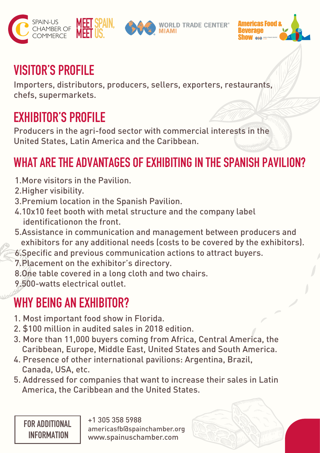





#### VISITOR'S PROFILE

Importers, distributors, producers, sellers, exporters, restaurants, chefs, supermarkets.

#### EXHIBITOR'S PROFILE

Producers in the agri-food sector with commercial interests in the United States, Latin America and the Caribbean.

#### WHAT ARE THE ADVANTAGES OF EXHIBITING IN THE SPANISH PAVILION?

- 1.More visitors in the Pavilion.
- 2.Higher visibility.
- 3.Premium location in the Spanish Pavilion.
- 4.10x10 feet booth with metal structure and the company label identificationon the front.
- 5.Assistance in communication and management between producers and exhibitors for any additional needs (costs to be covered by the exhibitors).
- 6.Specific and previous communication actions to attract buyers.
- 7.Placement on the exhibitor's directory.
- 8.One table covered in a long cloth and two chairs.
- 9.500-watts electrical outlet.

### WHY BEING AN EXHIBITOR?

- 1. Most important food show in Florida.
- 2. \$100 million in audited sales in 2018 edition.
- 3. More than 11,000 buyers coming from Africa, Central America, the Caribbean, Europe, Middle East, United States and South America.
- 4. Presence of other international pavilions: Argentina, Brazil, Canada, USA, etc.
- 5. Addressed for companies that want to increase their sales in Latin America, the Caribbean and the United States.

FOR ADDITIONAL

 INFORMATION www.spainuschamber.com americasfb@spainchamber.org +1 305 358 5988